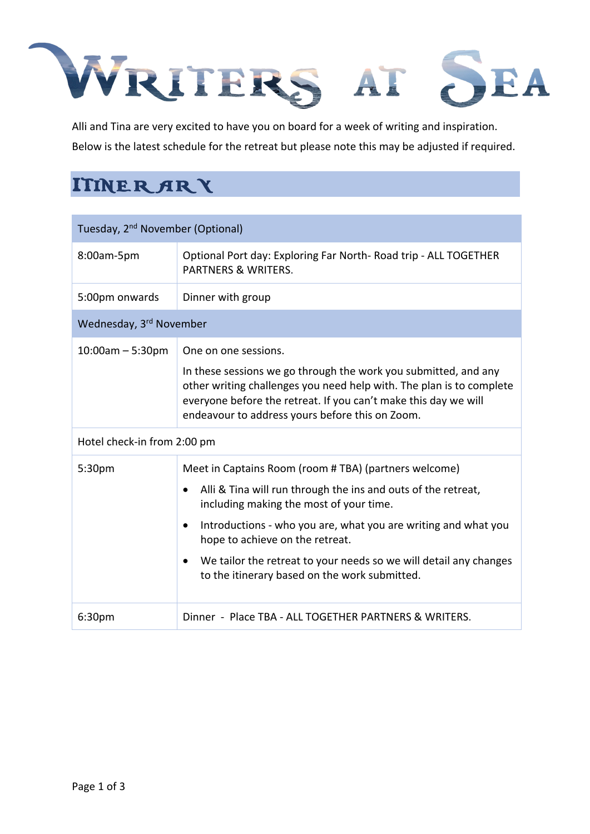## Page 1 of 3



Alli and Tina are very excited to have you on board for a week of writing and inspiration. Below is the latest schedule for the retreat but please note this may be adjusted if required.

## **ITINER ARY**

| Tuesday, 2 <sup>nd</sup> November (Optional) |                                                                                                                                                                                                                                                                                                                                                                                             |  |
|----------------------------------------------|---------------------------------------------------------------------------------------------------------------------------------------------------------------------------------------------------------------------------------------------------------------------------------------------------------------------------------------------------------------------------------------------|--|
| 8:00am-5pm                                   | Optional Port day: Exploring Far North-Road trip - ALL TOGETHER<br><b>PARTNERS &amp; WRITERS.</b>                                                                                                                                                                                                                                                                                           |  |
| 5:00pm onwards                               | Dinner with group                                                                                                                                                                                                                                                                                                                                                                           |  |
| Wednesday, 3rd November                      |                                                                                                                                                                                                                                                                                                                                                                                             |  |
| $10:00$ am – 5:30pm                          | One on one sessions.<br>In these sessions we go through the work you submitted, and any<br>other writing challenges you need help with. The plan is to complete<br>everyone before the retreat. If you can't make this day we will<br>endeavour to address yours before this on Zoom.                                                                                                       |  |
| Hotel check-in from 2:00 pm                  |                                                                                                                                                                                                                                                                                                                                                                                             |  |
| 5:30 <sub>pm</sub>                           | Meet in Captains Room (room #TBA) (partners welcome)<br>Alli & Tina will run through the ins and outs of the retreat,<br>including making the most of your time.<br>Introductions - who you are, what you are writing and what you<br>hope to achieve on the retreat.<br>We tailor the retreat to your needs so we will detail any changes<br>to the itinerary based on the work submitted. |  |
| 6:30 <sub>pm</sub>                           | Dinner - Place TBA - ALL TOGETHER PARTNERS & WRITERS.                                                                                                                                                                                                                                                                                                                                       |  |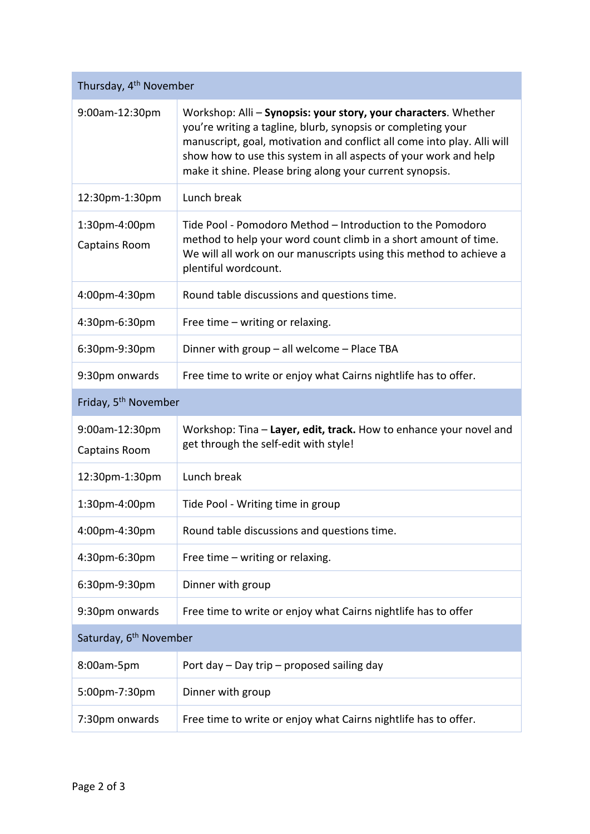Page 2 of 3

| Thursday, 4 <sup>th</sup> November        |                                                                                                                                                                                                                                                                                                                                            |  |
|-------------------------------------------|--------------------------------------------------------------------------------------------------------------------------------------------------------------------------------------------------------------------------------------------------------------------------------------------------------------------------------------------|--|
| $9:00$ am-12:30pm                         | Workshop: Alli – Synopsis: your story, your characters. Whether<br>you're writing a tagline, blurb, synopsis or completing your<br>manuscript, goal, motivation and conflict all come into play. Alli will<br>show how to use this system in all aspects of your work and help<br>make it shine. Please bring along your current synopsis. |  |
| 12:30pm-1:30pm                            | Lunch break                                                                                                                                                                                                                                                                                                                                |  |
| $1:30$ pm-4:00pm<br>Captains Room         | Tide Pool - Pomodoro Method – Introduction to the Pomodoro<br>method to help your word count climb in a short amount of time.<br>We will all work on our manuscripts using this method to achieve a<br>plentiful wordcount.                                                                                                                |  |
| 4:00pm-4:30pm                             | Round table discussions and questions time.                                                                                                                                                                                                                                                                                                |  |
| 4:30pm-6:30pm                             | Free time – writing or relaxing.                                                                                                                                                                                                                                                                                                           |  |
| 6:30pm-9:30pm                             | Dinner with group $-$ all welcome $-$ Place TBA                                                                                                                                                                                                                                                                                            |  |
| 9:30pm onwards                            | Free time to write or enjoy what Cairns nightlife has to offer.                                                                                                                                                                                                                                                                            |  |
| Friday, 5 <sup>th</sup> November          |                                                                                                                                                                                                                                                                                                                                            |  |
| $9:00$ am-12:30pm<br><b>Captains Room</b> | Workshop: Tina – Layer, edit, track. How to enhance your novel and<br>get through the self-edit with style!                                                                                                                                                                                                                                |  |
| 12:30pm-1:30pm                            | Lunch break                                                                                                                                                                                                                                                                                                                                |  |
| $1:30$ pm-4:00pm                          | Tide Pool - Writing time in group                                                                                                                                                                                                                                                                                                          |  |
| 4:00pm-4:30pm                             | Round table discussions and questions time.                                                                                                                                                                                                                                                                                                |  |
| 4:30pm-6:30pm                             | Free time $-$ writing or relaxing.                                                                                                                                                                                                                                                                                                         |  |
| 6:30pm-9:30pm                             | Dinner with group                                                                                                                                                                                                                                                                                                                          |  |
| 9:30pm onwards                            | Free time to write or enjoy what Cairns nightlife has to offer                                                                                                                                                                                                                                                                             |  |
| Saturday, 6 <sup>th</sup> November        |                                                                                                                                                                                                                                                                                                                                            |  |
| 8:00am-5pm                                | Port day $-$ Day trip $-$ proposed sailing day                                                                                                                                                                                                                                                                                             |  |
| 5:00pm-7:30pm                             | Dinner with group                                                                                                                                                                                                                                                                                                                          |  |
| 7:30pm onwards                            | Free time to write or enjoy what Cairns nightlife has to offer.                                                                                                                                                                                                                                                                            |  |